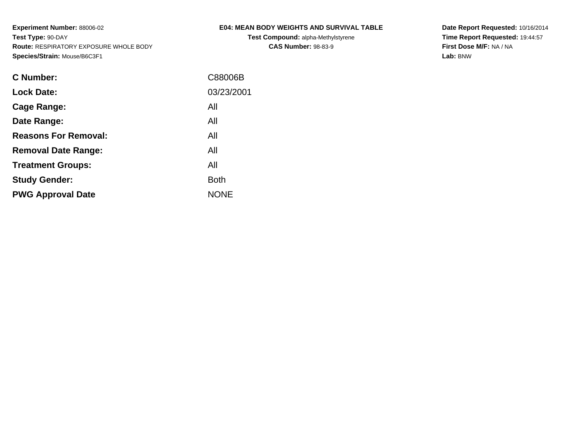**Test Compound:** alpha-Methylstyrene**CAS Number:** 98-83-9

**Date Report Requested:** 10/16/2014 **Time Report Requested:** 19:44:57**First Dose M/F:** NA / NA**Lab:** BNW

| <b>C</b> Number:            | C88006B     |
|-----------------------------|-------------|
| <b>Lock Date:</b>           | 03/23/2001  |
| Cage Range:                 | All         |
| Date Range:                 | All         |
| <b>Reasons For Removal:</b> | All         |
| <b>Removal Date Range:</b>  | All         |
| <b>Treatment Groups:</b>    | All         |
| <b>Study Gender:</b>        | <b>Both</b> |
| <b>PWG Approval Date</b>    | <b>NONE</b> |
|                             |             |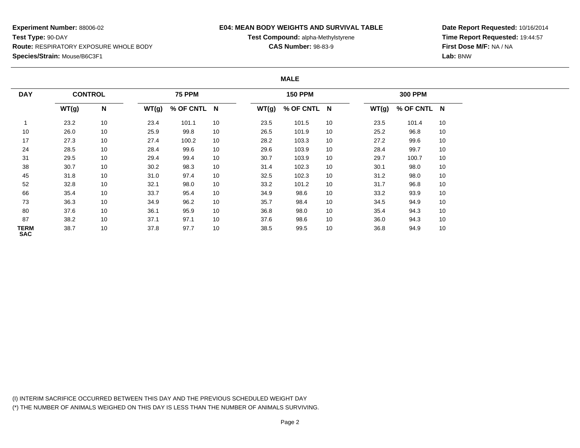### **E04: MEAN BODY WEIGHTS AND SURVIVAL TABLE**

**Test Compound:** alpha-Methylstyrene

**CAS Number:** 98-83-9

**Date Report Requested:** 10/16/2014**Time Report Requested:** 19:44:57**First Dose M/F:** NA / NA**Lab:** BNW

#### **MALE**

| <b>DAY</b>                | <b>CONTROL</b> |    |       | <b>75 PPM</b> |    |       | <b>150 PPM</b> |    |       | <b>300 PPM</b> |    |
|---------------------------|----------------|----|-------|---------------|----|-------|----------------|----|-------|----------------|----|
|                           | WT(g)          | N  | WT(g) | % OF CNTL N   |    | WT(g) | % OF CNTL N    |    | WT(g) | % OF CNTL N    |    |
|                           | 23.2           | 10 | 23.4  | 101.1         | 10 | 23.5  | 101.5          | 10 | 23.5  | 101.4          | 10 |
| 10                        | 26.0           | 10 | 25.9  | 99.8          | 10 | 26.5  | 101.9          | 10 | 25.2  | 96.8           | 10 |
| 17                        | 27.3           | 10 | 27.4  | 100.2         | 10 | 28.2  | 103.3          | 10 | 27.2  | 99.6           | 10 |
| 24                        | 28.5           | 10 | 28.4  | 99.6          | 10 | 29.6  | 103.9          | 10 | 28.4  | 99.7           | 10 |
| 31                        | 29.5           | 10 | 29.4  | 99.4          | 10 | 30.7  | 103.9          | 10 | 29.7  | 100.7          | 10 |
| 38                        | 30.7           | 10 | 30.2  | 98.3          | 10 | 31.4  | 102.3          | 10 | 30.1  | 98.0           | 10 |
| 45                        | 31.8           | 10 | 31.0  | 97.4          | 10 | 32.5  | 102.3          | 10 | 31.2  | 98.0           | 10 |
| 52                        | 32.8           | 10 | 32.1  | 98.0          | 10 | 33.2  | 101.2          | 10 | 31.7  | 96.8           | 10 |
| 66                        | 35.4           | 10 | 33.7  | 95.4          | 10 | 34.9  | 98.6           | 10 | 33.2  | 93.9           | 10 |
| 73                        | 36.3           | 10 | 34.9  | 96.2          | 10 | 35.7  | 98.4           | 10 | 34.5  | 94.9           | 10 |
| 80                        | 37.6           | 10 | 36.1  | 95.9          | 10 | 36.8  | 98.0           | 10 | 35.4  | 94.3           | 10 |
| 87                        | 38.2           | 10 | 37.1  | 97.1          | 10 | 37.6  | 98.6           | 10 | 36.0  | 94.3           | 10 |
| <b>TERM</b><br><b>SAC</b> | 38.7           | 10 | 37.8  | 97.7          | 10 | 38.5  | 99.5           | 10 | 36.8  | 94.9           | 10 |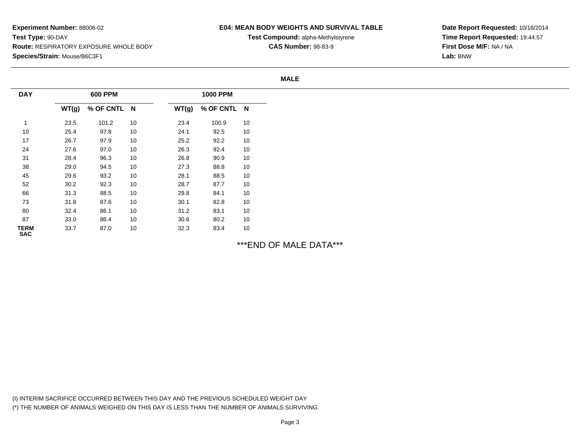### **E04: MEAN BODY WEIGHTS AND SURVIVAL TABLE**

**Test Compound:** alpha-Methylstyrene**CAS Number:** 98-83-9

**Date Report Requested:** 10/16/2014**Time Report Requested:** 19:44:57**First Dose M/F:** NA / NA**Lab:** BNW

**MALE**

| <b>DAY</b>         |       | <b>600 PPM</b> |    |       | <b>1000 PPM</b> |    |
|--------------------|-------|----------------|----|-------|-----------------|----|
|                    | WT(g) | % OF CNTL N    |    | WT(g) | % OF CNTL N     |    |
| $\mathbf{1}$       | 23.5  | 101.2          | 10 | 23.4  | 100.9           | 10 |
| $10$               | 25.4  | 97.8           | 10 | 24.1  | 92.5            | 10 |
| 17                 | 26.7  | 97.9           | 10 | 25.2  | 92.2            | 10 |
| 24                 | 27.6  | 97.0           | 10 | 26.3  | 92.4            | 10 |
| 31                 | 28.4  | 96.3           | 10 | 26.8  | 90.9            | 10 |
| 38                 | 29.0  | 94.5           | 10 | 27.3  | 88.8            | 10 |
| 45                 | 29.6  | 93.2           | 10 | 28.1  | 88.5            | 10 |
| 52                 | 30.2  | 92.3           | 10 | 28.7  | 87.7            | 10 |
| 66                 | 31.3  | 88.5           | 10 | 29.8  | 84.1            | 10 |
| 73                 | 31.8  | 87.6           | 10 | 30.1  | 82.8            | 10 |
| 80                 | 32.4  | 86.1           | 10 | 31.2  | 83.1            | 10 |
| 87                 | 33.0  | 86.4           | 10 | 30.6  | 80.2            | 10 |
| <b>TERM</b><br>SAC | 33.7  | 87.0           | 10 | 32.3  | 83.4            | 10 |

# \*\*\*END OF MALE DATA\*\*\*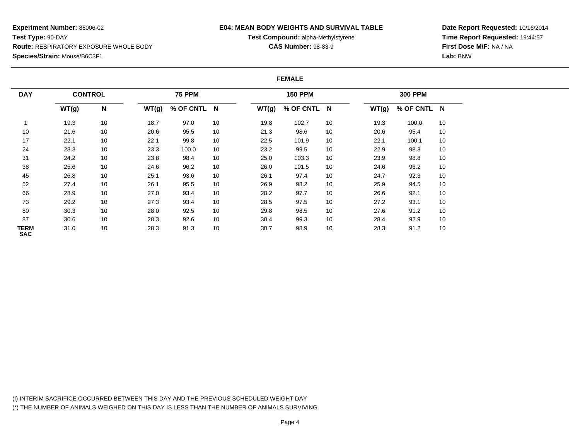### **E04: MEAN BODY WEIGHTS AND SURVIVAL TABLE**

**Test Compound:** alpha-Methylstyrene

**CAS Number:** 98-83-9

**Date Report Requested:** 10/16/2014**Time Report Requested:** 19:44:57**First Dose M/F:** NA / NA**Lab:** BNW

#### **FEMALE**

| <b>DAY</b>                | <b>CONTROL</b> |    |       | <b>75 PPM</b> |    |       | <b>150 PPM</b> |    |       | <b>300 PPM</b> |    |
|---------------------------|----------------|----|-------|---------------|----|-------|----------------|----|-------|----------------|----|
|                           | WT(g)          | N  | WT(g) | % OF CNTL N   |    | WT(g) | % OF CNTL N    |    | WT(g) | % OF CNTL N    |    |
|                           | 19.3           | 10 | 18.7  | 97.0          | 10 | 19.8  | 102.7          | 10 | 19.3  | 100.0          | 10 |
| 10                        | 21.6           | 10 | 20.6  | 95.5          | 10 | 21.3  | 98.6           | 10 | 20.6  | 95.4           | 10 |
| 17                        | 22.1           | 10 | 22.1  | 99.8          | 10 | 22.5  | 101.9          | 10 | 22.1  | 100.1          | 10 |
| 24                        | 23.3           | 10 | 23.3  | 100.0         | 10 | 23.2  | 99.5           | 10 | 22.9  | 98.3           | 10 |
| 31                        | 24.2           | 10 | 23.8  | 98.4          | 10 | 25.0  | 103.3          | 10 | 23.9  | 98.8           | 10 |
| 38                        | 25.6           | 10 | 24.6  | 96.2          | 10 | 26.0  | 101.5          | 10 | 24.6  | 96.2           | 10 |
| 45                        | 26.8           | 10 | 25.1  | 93.6          | 10 | 26.1  | 97.4           | 10 | 24.7  | 92.3           | 10 |
| 52                        | 27.4           | 10 | 26.1  | 95.5          | 10 | 26.9  | 98.2           | 10 | 25.9  | 94.5           | 10 |
| 66                        | 28.9           | 10 | 27.0  | 93.4          | 10 | 28.2  | 97.7           | 10 | 26.6  | 92.1           | 10 |
| 73                        | 29.2           | 10 | 27.3  | 93.4          | 10 | 28.5  | 97.5           | 10 | 27.2  | 93.1           | 10 |
| 80                        | 30.3           | 10 | 28.0  | 92.5          | 10 | 29.8  | 98.5           | 10 | 27.6  | 91.2           | 10 |
| 87                        | 30.6           | 10 | 28.3  | 92.6          | 10 | 30.4  | 99.3           | 10 | 28.4  | 92.9           | 10 |
| <b>TERM</b><br><b>SAC</b> | 31.0           | 10 | 28.3  | 91.3          | 10 | 30.7  | 98.9           | 10 | 28.3  | 91.2           | 10 |